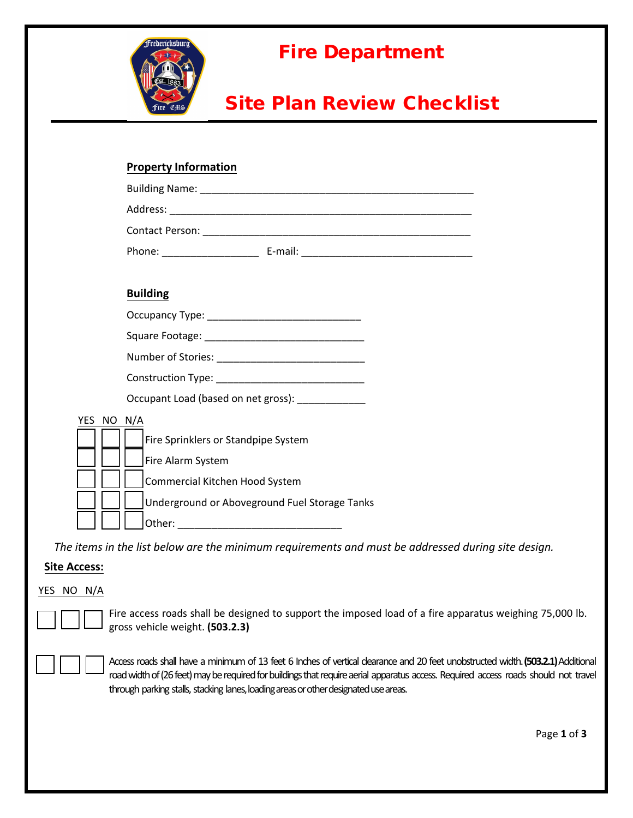

## Fire Department

## Site Plan Review Checklist

| <b>Property Information</b>                                                       |
|-----------------------------------------------------------------------------------|
|                                                                                   |
|                                                                                   |
|                                                                                   |
| Phone: ________________________________E-mail: __________________________________ |
|                                                                                   |
| <b>Building</b>                                                                   |
|                                                                                   |
|                                                                                   |
|                                                                                   |
| Construction Type: _______________________________                                |
| Occupant Load (based on net gross): _____________                                 |
| YES NO N/A                                                                        |
| Fire Sprinklers or Standpipe System                                               |
| Fire Alarm System                                                                 |
| Commercial Kitchen Hood System                                                    |
| Underground or Aboveground Fuel Storage Tanks                                     |
|                                                                                   |

*The items in the list below are the minimum requirements and must be addressed during site design.*

## **Site Access:**

## YES NO N/A



Fire access roads shall be designed to support the imposed load of a fire apparatus weighing 75,000 lb. gross vehicle weight. **(503.2.3)**



Access roads shall have a minimum of 13 feet 6 Inches of vertical dearance and 20 feet unobstructed width. (503.2.1) Additional road width of (26 feet) may be required for buildings that require aerial apparatus access. Required access roads should not travel through parking stalls, stacking lanes, loading areas or other designated use areas.

Page **1** of **3**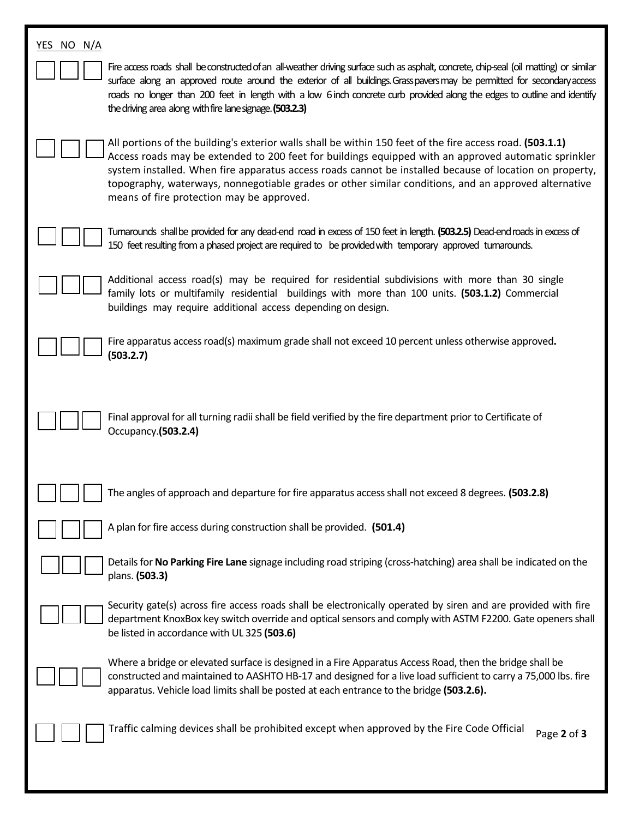| YES NO N/A                                                                                                                                                                                                                                                                                                                                                                                                                                                                        |
|-----------------------------------------------------------------------------------------------------------------------------------------------------------------------------------------------------------------------------------------------------------------------------------------------------------------------------------------------------------------------------------------------------------------------------------------------------------------------------------|
| Fire access roads shall be constructed of an all-weather driving surface such as asphalt, concrete, chip-seal (oil matting) or similar<br>surface along an approved route around the exterior of all buildings. Grasspavers may be permitted for secondary access<br>roads no longer than 200 feet in length with a low 6 inch concrete curb provided along the edges to outline and identify<br>the driving area along with fire lane signage. (503.2.3)                         |
| All portions of the building's exterior walls shall be within 150 feet of the fire access road. (503.1.1)<br>Access roads may be extended to 200 feet for buildings equipped with an approved automatic sprinkler<br>system installed. When fire apparatus access roads cannot be installed because of location on property,<br>topography, waterways, nonnegotiable grades or other similar conditions, and an approved alternative<br>means of fire protection may be approved. |
| Tumarounds shall be provided for any dead-end road in excess of 150 feet in length. (503.2.5) Dead-end roads in excess of<br>150 feet resulting from a phased project are required to be provided with temporary approved turnarounds.                                                                                                                                                                                                                                            |
| Additional access road(s) may be required for residential subdivisions with more than 30 single<br>family lots or multifamily residential buildings with more than 100 units. (503.1.2) Commercial<br>buildings may require additional access depending on design.                                                                                                                                                                                                                |
| Fire apparatus access road(s) maximum grade shall not exceed 10 percent unless otherwise approved.<br>(503.2.7)                                                                                                                                                                                                                                                                                                                                                                   |
| Final approval for all turning radii shall be field verified by the fire department prior to Certificate of<br>Occupancy.(503.2.4)                                                                                                                                                                                                                                                                                                                                                |
| The angles of approach and departure for fire apparatus access shall not exceed 8 degrees. (503.2.8)                                                                                                                                                                                                                                                                                                                                                                              |
| A plan for fire access during construction shall be provided. (501.4)                                                                                                                                                                                                                                                                                                                                                                                                             |
| Details for No Parking Fire Lane signage including road striping (cross-hatching) area shall be indicated on the<br>plans. (503.3)                                                                                                                                                                                                                                                                                                                                                |
| Security gate(s) across fire access roads shall be electronically operated by siren and are provided with fire<br>department KnoxBox key switch override and optical sensors and comply with ASTM F2200. Gate openers shall<br>be listed in accordance with UL 325 (503.6)                                                                                                                                                                                                        |
| Where a bridge or elevated surface is designed in a Fire Apparatus Access Road, then the bridge shall be<br>constructed and maintained to AASHTO HB-17 and designed for a live load sufficient to carry a 75,000 lbs. fire<br>apparatus. Vehicle load limits shall be posted at each entrance to the bridge (503.2.6).                                                                                                                                                            |
| Traffic calming devices shall be prohibited except when approved by the Fire Code Official<br>Page 2 of 3                                                                                                                                                                                                                                                                                                                                                                         |